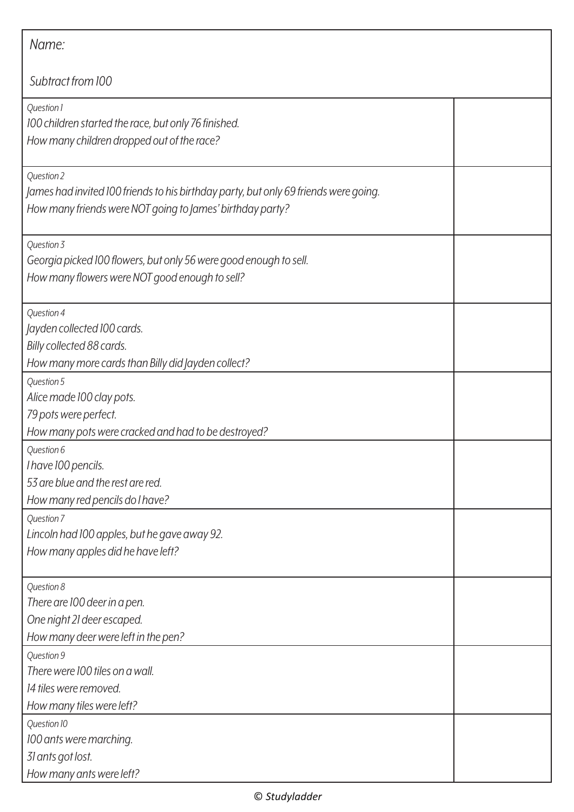| Name:                                                                                                                                                           |  |  |
|-----------------------------------------------------------------------------------------------------------------------------------------------------------------|--|--|
| Subtract from 100                                                                                                                                               |  |  |
| Question 1<br>100 children started the race, but only 76 finished.<br>How many children dropped out of the race?                                                |  |  |
| Question 2<br>James had invited 100 friends to his birthday party, but only 69 friends were going.<br>How many friends were NOT going to James' birthday party? |  |  |
| Question 3<br>Georgia picked 100 flowers, but only 56 were good enough to sell.<br>How many flowers were NOT good enough to sell?                               |  |  |
| Question 4<br>Jayden collected 100 cards.<br>Billy collected 88 cards.<br>How many more cards than Billy did Jayden collect?                                    |  |  |
| Question 5<br>Alice made 100 clay pots.<br>79 pots were perfect.<br>How many pots were cracked and had to be destroyed?                                         |  |  |
| Question 6<br>I have 100 pencils.<br>53 are blue and the rest are red.<br>How many red pencils do I have?                                                       |  |  |
| Question 7<br>Lincoln had 100 apples, but he gave away 92.<br>How many apples did he have left?                                                                 |  |  |
| Question 8<br>There are 100 deer in a pen.<br>One night 21 deer escaped.<br>How many deer were left in the pen?                                                 |  |  |
| Question 9<br>There were 100 tiles on a wall.<br>14 tiles were removed.<br>How many tiles were left?                                                            |  |  |
| Question 10<br>100 ants were marching.<br>31 ants got lost.<br>How many ants were left?                                                                         |  |  |